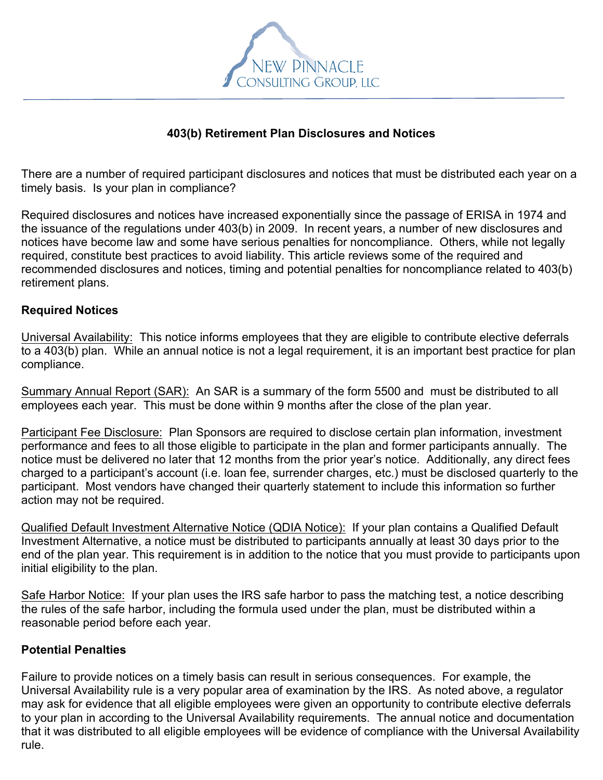

## **403(b) Retirement Plan Disclosures and Notices**

There are a number of required participant disclosures and notices that must be distributed each year on a timely basis. Is your plan in compliance?

Required disclosures and notices have increased exponentially since the passage of ERISA in 1974 and the issuance of the regulations under 403(b) in 2009. In recent years, a number of new disclosures and notices have become law and some have serious penalties for noncompliance. Others, while not legally required, constitute best practices to avoid liability. This article reviews some of the required and recommended disclosures and notices, timing and potential penalties for noncompliance related to 403(b) retirement plans.

## **Required Notices**

Universal Availability: This notice informs employees that they are eligible to contribute elective deferrals to a 403(b) plan. While an annual notice is not a legal requirement, it is an important best practice for plan compliance.

Summary Annual Report (SAR): An SAR is a summary of the form 5500 and must be distributed to all employees each year. This must be done within 9 months after the close of the plan year.

Participant Fee Disclosure: Plan Sponsors are required to disclose certain plan information, investment performance and fees to all those eligible to participate in the plan and former participants annually. The notice must be delivered no later that 12 months from the prior year's notice. Additionally, any direct fees charged to a participant's account (i.e. loan fee, surrender charges, etc.) must be disclosed quarterly to the participant. Most vendors have changed their quarterly statement to include this information so further action may not be required.

Qualified Default Investment Alternative Notice (QDIA Notice): If your plan contains a Qualified Default Investment Alternative, a notice must be distributed to participants annually at least 30 days prior to the end of the plan year. This requirement is in addition to the notice that you must provide to participants upon initial eligibility to the plan.

Safe Harbor Notice: If your plan uses the IRS safe harbor to pass the matching test, a notice describing the rules of the safe harbor, including the formula used under the plan, must be distributed within a reasonable period before each year.

## **Potential Penalties**

Failure to provide notices on a timely basis can result in serious consequences. For example, the Universal Availability rule is a very popular area of examination by the IRS. As noted above, a regulator may ask for evidence that all eligible employees were given an opportunity to contribute elective deferrals to your plan in according to the Universal Availability requirements. The annual notice and documentation that it was distributed to all eligible employees will be evidence of compliance with the Universal Availability rule.